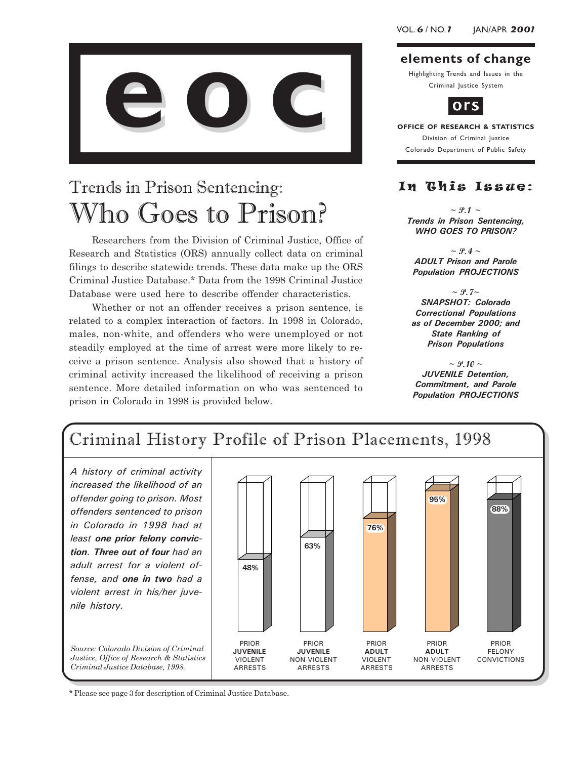

### Trends in Prison Sentencing: Who Goes to Prison?

Researchers from the Division of Criminal Justice, Office of Research and Statistics (ORS) annually collect data on criminal filings to describe statewide trends. These data make up the ORS Criminal Justice Database.\* Data from the 1998 Criminal Justice Database were used here to describe offender characteristics.

Whether or not an offender receives a prison sentence, is related to a complex interaction of factors. In 1998 in Colorado, males, non-white, and offenders who were unemployed or not steadily employed at the time of arrest were more likely to receive a prison sentence. Analysis also showed that a history of criminal activity increased the likelihood of receiving a prison sentence. More detailed information on who was sentenced to prison in Colorado in 1998 is provided below.

### elements of change

Highlighting Trends and Issues in the Criminal Justice System



OFFICE OF RESEARCH & STATISTICS Division of Criminal Justice Colorado Department of Public Safety

### In This Issue:

 $\sim$  P.1  $\sim$ Trends in Prison Sentencing, WHO GOES TO PRISON?

 $\sim$  P.4  $\sim$ ADULT Prison and Parole Population PROJECTIONS

 $\sim \mathcal{P}$ . 7~ SNAPSHOT: Colorado Correctional Populations as of December 2000; and State Ranking of Prison Populations

 $\sim$  P.10  $\sim$ JUVENILE Detention, Commitment, and Parole Population PROJECTIONS



\* Please see page 3 for description of Criminal Justice Database.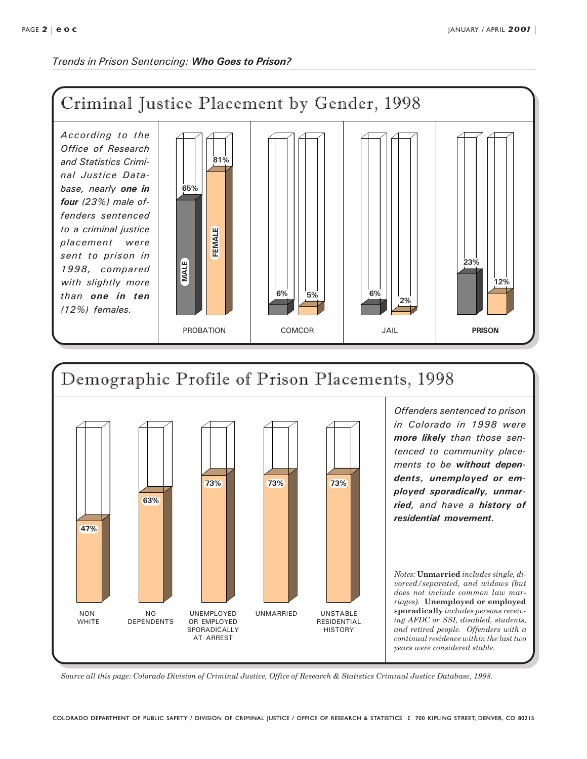Trends in Prison Sentencing: Who Goes to Prison?





in Colorado in 1998 were more likely than those sentenced to community placements to be without dependents, unemployed or employed sporadically, unmarried, and have a history of residential movement.

Notes: Unmarried includes single, divorced/separated, and widows (but does not include common law marriages). Unemployed or employed sporadically includes persons receiving AFDC or SSI, disabled, students, and retired people. Offenders with a continual residence within the last two years were considered stable.

Source all this page: Colorado Division of Criminal Justice, Office of Research & Statistics Criminal Justice Database, 1998.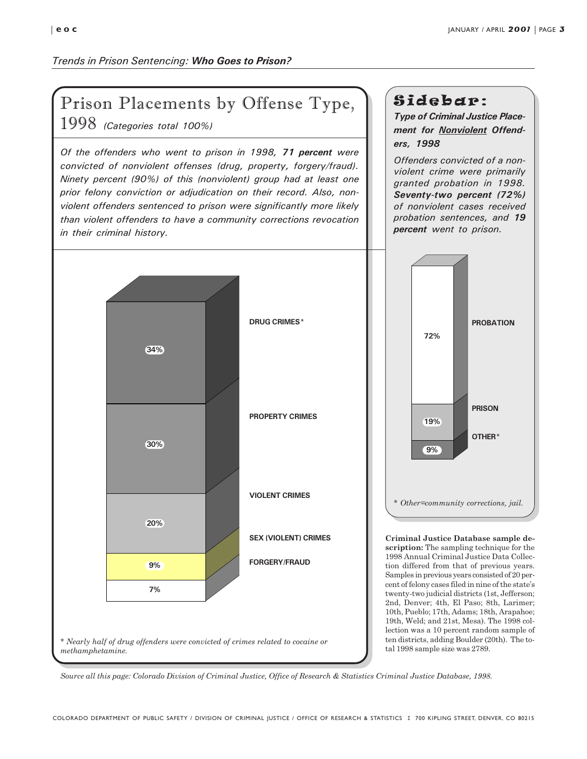### Trends in Prison Sentencing: Who Goes to Prison?

### Prison Placements by Offense Type,

1998 (Categories total 100%)

Of the offenders who went to prison in 1998, 71 percent were convicted of nonviolent offenses (drug, property, forgery/fraud). Ninety percent (90%) of this (nonviolent) group had at least one prior felony conviction or adjudication on their record. Also, nonviolent offenders sentenced to prison were significantly more likely than violent offenders to have a community corrections revocation in their criminal history.



### Sidebar:

Type of Criminal Justice Placement for **Nonviolent** Offenders, 1998

Offenders convicted of a nonviolent crime were primarily granted probation in 1998. Seventy-two percent (72%) of nonviolent cases received probation sentences, and 19 percent went to prison.



Criminal Justice Database sample description: The sampling technique for the 1998 Annual Criminal Justice Data Collection differed from that of previous years. Samples in previous years consisted of 20 percent of felony cases filed in nine of the state's twenty-two judicial districts (1st, Jefferson; 2nd, Denver; 4th, El Paso; 8th, Larimer; 10th, Pueblo; 17th, Adams; 18th, Arapahoe; 19th, Weld; and 21st, Mesa). The 1998 collection was a 10 percent random sample of ten districts, adding Boulder (20th). The total 1998 sample size was 2789.

Source all this page: Colorado Division of Criminal Justice, Office of Research & Statistics Criminal Justice Database, 1998.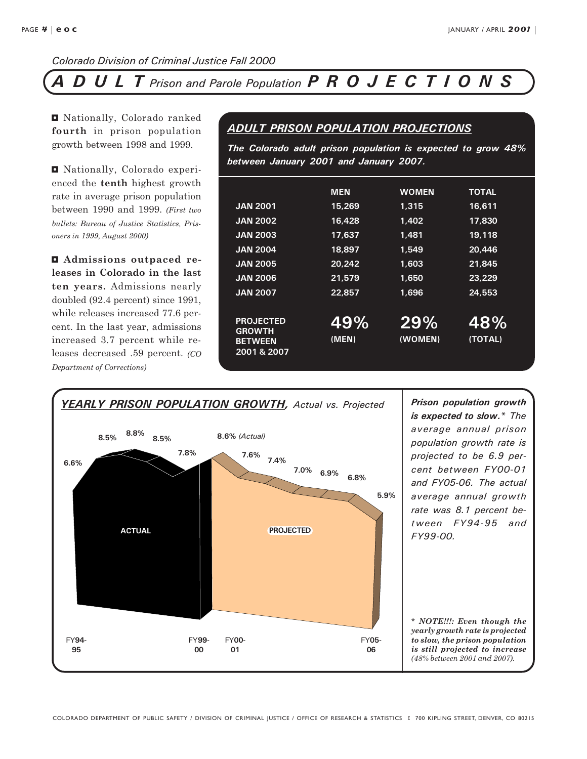### DULT Prison and Parole Population PROJECTIONS

<sup>I</sup> Nationally, Colorado ranked fourth in prison population growth between 1998 and 1999.

**E** Nationally, Colorado experienced the tenth highest growth rate in average prison population between 1990 and 1999. (First two bullets: Bureau of Justice Statistics, Prisoners in 1999, August 2000)

 $\blacksquare$  Admissions outpaced releases in Colorado in the last ten years. Admissions nearly doubled (92.4 percent) since 1991, while releases increased 77.6 percent. In the last year, admissions increased 3.7 percent while releases decreased .59 percent. (CO Department of Corrections)

### ADULT PRISON POPULATION PROJECTIONS

The Colorado adult prison population is expected to grow 48% between January 2001 and January 2007.

| <b>JAN 2001</b><br><b>JAN 2002</b><br><b>JAN 2003</b><br><b>JAN 2004</b><br><b>JAN 2005</b><br><b>JAN 2006</b><br><b>JAN 2007</b> | <b>MEN</b><br>15,269<br>16,428<br>17.637<br>18,897<br>20,242<br>21.579<br>22,857 | <b>WOMEN</b><br>1,315<br>1.402<br>1.481<br>1.549<br>1,603<br>1.650<br>1.696 | <b>TOTAL</b><br>16,611<br>17,830<br>19,118<br>20.446<br>21.845<br>23,229<br>24,553 |
|-----------------------------------------------------------------------------------------------------------------------------------|----------------------------------------------------------------------------------|-----------------------------------------------------------------------------|------------------------------------------------------------------------------------|
| <b>PROJECTED</b><br><b>GROWTH</b><br><b>BETWEEN</b><br>2001 & 2007                                                                | 49%<br>(MEN)                                                                     | 29%<br>(WOMEN)                                                              | 48%<br>(TOTAL)                                                                     |

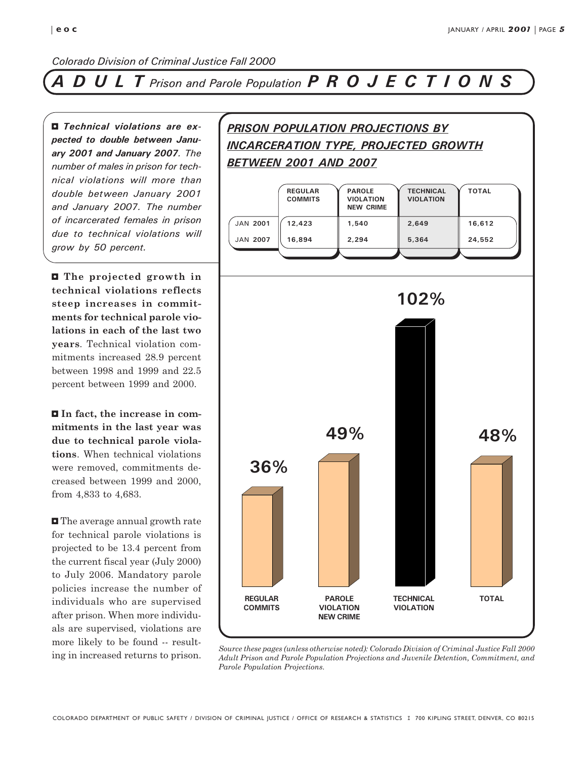### DULT Prison and Parole Population PROJECTIONS

3 Technical violations are expected to double between January 2001 and January 2007. The number of males in prison for technical violations will more than double between January 2001 and January 2007. The number of incarcerated females in prison due to technical violations will grow by 50 percent.

**E** The projected growth in technical violations reflects steep increases in commitments for technical parole violations in each of the last two years. Technical violation commitments increased 28.9 percent between 1998 and 1999 and 22.5 percent between 1999 and 2000.

In fact, the increase in commitments in the last year was due to technical parole violations. When technical violations were removed, commitments decreased between 1999 and 2000, from 4,833 to 4,683.

**I** The average annual growth rate for technical parole violations is projected to be 13.4 percent from the current fiscal year (July 2000) to July 2006. Mandatory parole policies increase the number of individuals who are supervised after prison. When more individuals are supervised, violations are more likely to be found -- result-

### PRISON POPULATION PROJECTIONS BY INCARCERATION TYPE, PROJECTED GROWTH **BETWEEN 2001 AND 2007**

|                 | <b>REGULAR</b><br><b>COMMITS</b> | <b>PAROLE</b><br><b>VIOLATION</b><br><b>NEW CRIME</b> | <b>TECHNICAL</b><br><b>VIOLATION</b> | <b>TOTAL</b> |
|-----------------|----------------------------------|-------------------------------------------------------|--------------------------------------|--------------|
| <b>JAN 2001</b> | 12,423                           | 1,540                                                 | 2,649                                | 16,612       |
| <b>JAN 2007</b> | 16,894                           | 2,294                                                 | 5,364                                | 24,552       |
|                 |                                  |                                                       |                                      |              |
|                 |                                  |                                                       |                                      |              |
|                 |                                  |                                                       | 102%                                 |              |
|                 |                                  |                                                       |                                      |              |
|                 |                                  |                                                       |                                      |              |
|                 |                                  |                                                       |                                      |              |
|                 |                                  |                                                       |                                      |              |



ing in increased returns to prison. Source these pages (unless otherwise noted): Colorado Division of Criminal Justice Fall 2000 Adult Prison and Parole Population Projections and Juvenile Detention, Commitment, and Parole Population Projections.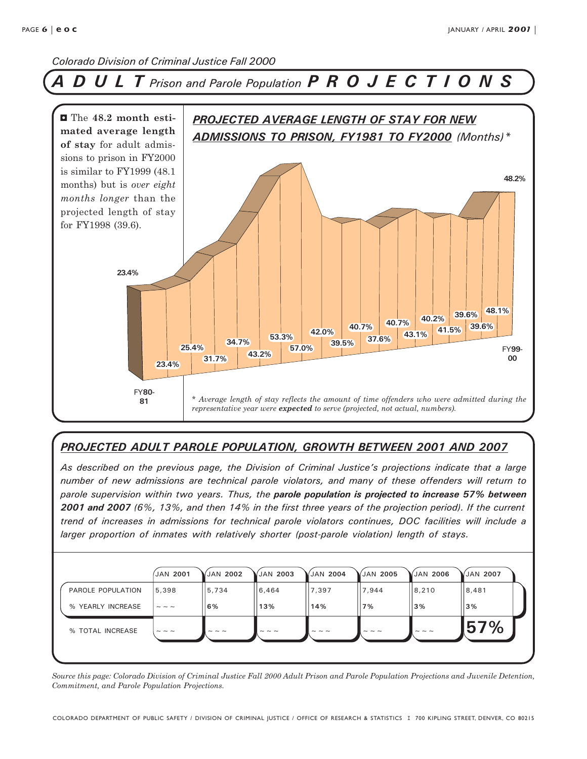### ULT Prison and Parole Population PROJECTIONS



### PROJECTED ADULT PAROLE POPULATION, GROWTH BETWEEN 2001 AND 2007

As described on the previous page, the Division of Criminal Justice's projections indicate that a large number of new admissions are technical parole violators, and many of these offenders will return to parole supervision within two years. Thus, the parole population is projected to increase 57% between 2001 and 2007 (6%, 13%, and then 14% in the first three years of the projection period). If the current trend of increases in admissions for technical parole violators continues, DOC facilities will include a larger proportion of inmates with relatively shorter (post-parole violation) length of stays.

|                   | <b>JAN 2001</b>      | JAN 2002      | JAN 2003             | (JAN 2004            | /JAN 2005 | $\sqrt{\text{JAN}}$ 2006 | JAN 2007 |  |
|-------------------|----------------------|---------------|----------------------|----------------------|-----------|--------------------------|----------|--|
| PAROLE POPULATION | 5,398                | 5,734         | 6,464                | 7,397                | 7,944     | 8,210                    | 8,481    |  |
| % YEARLY INCREASE | $\sim$ $\sim$ $\sim$ | 6%            | 13%                  | 14%                  | 7%        | 3%                       | 3%       |  |
| % TOTAL INCREASE  | $\sim$ $\sim$ $\sim$ | $\sim$ $\sim$ | $\sim$ $\sim$ $\sim$ | $\sim$ $\sim$ $\sim$ |           | $\sim$ $\sim$ $\sim$     | 57%      |  |
|                   |                      |               |                      |                      |           |                          |          |  |

Source this page: Colorado Division of Criminal Justice Fall 2000 Adult Prison and Parole Population Projections and Juvenile Detention, Commitment, and Parole Population Projections.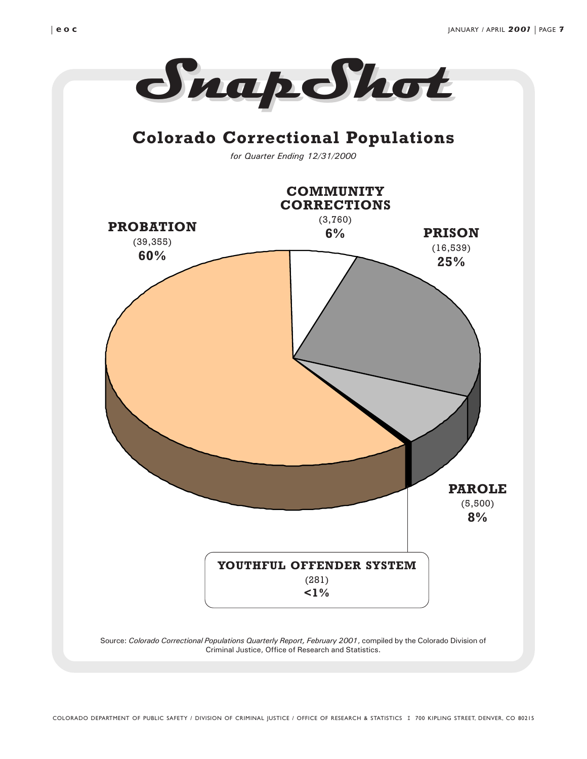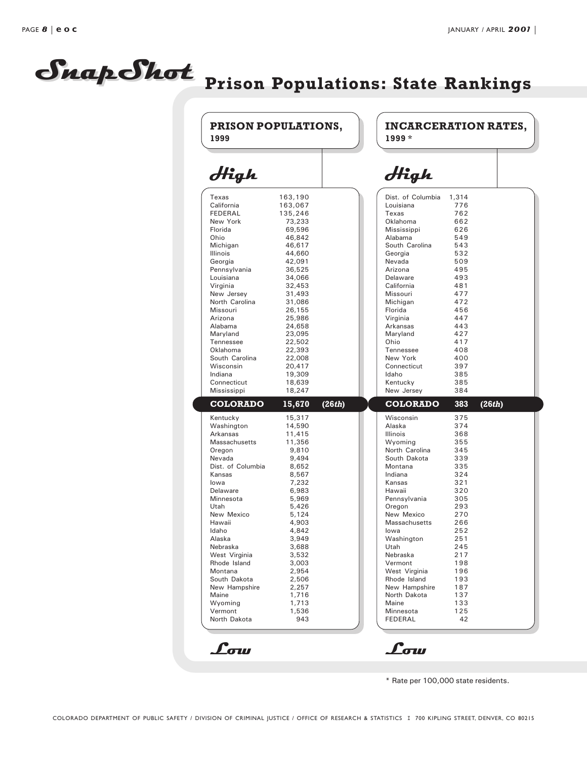# SnapShot Prison Populations: State Rankings

|         |                                                                                                                                                                                                                                                                                     |        | $1999*$              |                                                                                                                                                                                                                                                                                                                                                           |                                                                                                                                                                                             |
|---------|-------------------------------------------------------------------------------------------------------------------------------------------------------------------------------------------------------------------------------------------------------------------------------------|--------|----------------------|-----------------------------------------------------------------------------------------------------------------------------------------------------------------------------------------------------------------------------------------------------------------------------------------------------------------------------------------------------------|---------------------------------------------------------------------------------------------------------------------------------------------------------------------------------------------|
|         |                                                                                                                                                                                                                                                                                     |        | High                 |                                                                                                                                                                                                                                                                                                                                                           |                                                                                                                                                                                             |
|         |                                                                                                                                                                                                                                                                                     |        |                      |                                                                                                                                                                                                                                                                                                                                                           |                                                                                                                                                                                             |
| 163,067 |                                                                                                                                                                                                                                                                                     |        | Louisiana            | 776                                                                                                                                                                                                                                                                                                                                                       |                                                                                                                                                                                             |
|         |                                                                                                                                                                                                                                                                                     |        | Texas                | 762                                                                                                                                                                                                                                                                                                                                                       |                                                                                                                                                                                             |
| 73,233  |                                                                                                                                                                                                                                                                                     |        | Oklahoma             | 662                                                                                                                                                                                                                                                                                                                                                       |                                                                                                                                                                                             |
| 69,596  |                                                                                                                                                                                                                                                                                     |        | Mississippi          | 626                                                                                                                                                                                                                                                                                                                                                       |                                                                                                                                                                                             |
| 46,842  |                                                                                                                                                                                                                                                                                     |        | Alabama              | 549                                                                                                                                                                                                                                                                                                                                                       |                                                                                                                                                                                             |
| 46,617  |                                                                                                                                                                                                                                                                                     |        | South Carolina       | 543                                                                                                                                                                                                                                                                                                                                                       |                                                                                                                                                                                             |
| 44,660  |                                                                                                                                                                                                                                                                                     |        | Georgia              | 532                                                                                                                                                                                                                                                                                                                                                       |                                                                                                                                                                                             |
| 42,091  |                                                                                                                                                                                                                                                                                     |        | Nevada               | 509                                                                                                                                                                                                                                                                                                                                                       |                                                                                                                                                                                             |
| 36,525  |                                                                                                                                                                                                                                                                                     |        | Arizona              | 495                                                                                                                                                                                                                                                                                                                                                       |                                                                                                                                                                                             |
|         |                                                                                                                                                                                                                                                                                     |        |                      |                                                                                                                                                                                                                                                                                                                                                           |                                                                                                                                                                                             |
|         |                                                                                                                                                                                                                                                                                     |        |                      |                                                                                                                                                                                                                                                                                                                                                           |                                                                                                                                                                                             |
|         |                                                                                                                                                                                                                                                                                     |        |                      |                                                                                                                                                                                                                                                                                                                                                           |                                                                                                                                                                                             |
|         |                                                                                                                                                                                                                                                                                     |        |                      |                                                                                                                                                                                                                                                                                                                                                           |                                                                                                                                                                                             |
|         |                                                                                                                                                                                                                                                                                     |        |                      |                                                                                                                                                                                                                                                                                                                                                           |                                                                                                                                                                                             |
|         |                                                                                                                                                                                                                                                                                     |        |                      |                                                                                                                                                                                                                                                                                                                                                           |                                                                                                                                                                                             |
|         |                                                                                                                                                                                                                                                                                     |        |                      |                                                                                                                                                                                                                                                                                                                                                           |                                                                                                                                                                                             |
| 22,502  |                                                                                                                                                                                                                                                                                     |        | Ohio                 | 417                                                                                                                                                                                                                                                                                                                                                       |                                                                                                                                                                                             |
| 22,393  |                                                                                                                                                                                                                                                                                     |        | Tennessee            | 408                                                                                                                                                                                                                                                                                                                                                       |                                                                                                                                                                                             |
| 22,008  |                                                                                                                                                                                                                                                                                     |        | New York             | 400                                                                                                                                                                                                                                                                                                                                                       |                                                                                                                                                                                             |
| 20,417  |                                                                                                                                                                                                                                                                                     |        | Connecticut          | 397                                                                                                                                                                                                                                                                                                                                                       |                                                                                                                                                                                             |
| 19,309  |                                                                                                                                                                                                                                                                                     |        | Idaho                |                                                                                                                                                                                                                                                                                                                                                           |                                                                                                                                                                                             |
|         |                                                                                                                                                                                                                                                                                     |        |                      |                                                                                                                                                                                                                                                                                                                                                           |                                                                                                                                                                                             |
|         |                                                                                                                                                                                                                                                                                     |        |                      |                                                                                                                                                                                                                                                                                                                                                           |                                                                                                                                                                                             |
|         |                                                                                                                                                                                                                                                                                     |        |                      |                                                                                                                                                                                                                                                                                                                                                           | (26th)                                                                                                                                                                                      |
| 15,317  |                                                                                                                                                                                                                                                                                     |        | Wisconsin            | 375                                                                                                                                                                                                                                                                                                                                                       |                                                                                                                                                                                             |
|         |                                                                                                                                                                                                                                                                                     |        |                      |                                                                                                                                                                                                                                                                                                                                                           |                                                                                                                                                                                             |
|         |                                                                                                                                                                                                                                                                                     |        |                      |                                                                                                                                                                                                                                                                                                                                                           |                                                                                                                                                                                             |
|         |                                                                                                                                                                                                                                                                                     |        |                      |                                                                                                                                                                                                                                                                                                                                                           |                                                                                                                                                                                             |
|         |                                                                                                                                                                                                                                                                                     |        |                      |                                                                                                                                                                                                                                                                                                                                                           |                                                                                                                                                                                             |
|         |                                                                                                                                                                                                                                                                                     |        |                      |                                                                                                                                                                                                                                                                                                                                                           |                                                                                                                                                                                             |
|         |                                                                                                                                                                                                                                                                                     |        |                      |                                                                                                                                                                                                                                                                                                                                                           |                                                                                                                                                                                             |
|         |                                                                                                                                                                                                                                                                                     |        | Kansas               | 321                                                                                                                                                                                                                                                                                                                                                       |                                                                                                                                                                                             |
| 6,983   |                                                                                                                                                                                                                                                                                     |        | Hawaii               | 320                                                                                                                                                                                                                                                                                                                                                       |                                                                                                                                                                                             |
| 5,969   |                                                                                                                                                                                                                                                                                     |        | Pennsylvania         | 305                                                                                                                                                                                                                                                                                                                                                       |                                                                                                                                                                                             |
| 5,426   |                                                                                                                                                                                                                                                                                     |        | Oregon               | 293                                                                                                                                                                                                                                                                                                                                                       |                                                                                                                                                                                             |
| 5,124   |                                                                                                                                                                                                                                                                                     |        | New Mexico           | 270                                                                                                                                                                                                                                                                                                                                                       |                                                                                                                                                                                             |
| 4,903   |                                                                                                                                                                                                                                                                                     |        | <b>Massachusetts</b> | 266                                                                                                                                                                                                                                                                                                                                                       |                                                                                                                                                                                             |
| 4,842   |                                                                                                                                                                                                                                                                                     |        | lowa                 | 252                                                                                                                                                                                                                                                                                                                                                       |                                                                                                                                                                                             |
| 3,949   |                                                                                                                                                                                                                                                                                     |        | Washington           | 251                                                                                                                                                                                                                                                                                                                                                       |                                                                                                                                                                                             |
|         |                                                                                                                                                                                                                                                                                     |        |                      |                                                                                                                                                                                                                                                                                                                                                           |                                                                                                                                                                                             |
|         |                                                                                                                                                                                                                                                                                     |        |                      |                                                                                                                                                                                                                                                                                                                                                           |                                                                                                                                                                                             |
|         |                                                                                                                                                                                                                                                                                     |        |                      |                                                                                                                                                                                                                                                                                                                                                           |                                                                                                                                                                                             |
|         |                                                                                                                                                                                                                                                                                     |        |                      |                                                                                                                                                                                                                                                                                                                                                           |                                                                                                                                                                                             |
|         |                                                                                                                                                                                                                                                                                     |        |                      |                                                                                                                                                                                                                                                                                                                                                           |                                                                                                                                                                                             |
|         |                                                                                                                                                                                                                                                                                     |        |                      |                                                                                                                                                                                                                                                                                                                                                           |                                                                                                                                                                                             |
|         |                                                                                                                                                                                                                                                                                     |        | Maine                | 133                                                                                                                                                                                                                                                                                                                                                       |                                                                                                                                                                                             |
| 1,536   |                                                                                                                                                                                                                                                                                     |        | Minnesota            | 125                                                                                                                                                                                                                                                                                                                                                       |                                                                                                                                                                                             |
| 943     |                                                                                                                                                                                                                                                                                     |        | <b>FEDERAL</b>       | 42                                                                                                                                                                                                                                                                                                                                                        |                                                                                                                                                                                             |
|         | 163,190<br>135,246<br>34,066<br>32,453<br>31,493<br>31.086<br>26,155<br>25,986<br>24,658<br>23,095<br>18,639<br>18,247<br>15,670<br>14,590<br>11,415<br>11,356<br>9,810<br>9,494<br>8,652<br>8,567<br>7,232<br>3,688<br>3,532<br>3,003<br>2,954<br>2,506<br>2,257<br>1,716<br>1,713 | (26th) |                      | Dist. of Columbia<br>Delaware<br>California<br>Missouri<br>Michigan<br>Florida<br>Virginia<br>Arkansas<br>Maryland<br>Kentucky<br>New Jersey<br><b>COLORADO</b><br>Alaska<br>Illinois<br>Wyoming<br>North Carolina<br>South Dakota<br>Montana<br>Indiana<br>Utah<br>Nebraska<br>Vermont<br>West Virginia<br>Rhode Island<br>New Hampshire<br>North Dakota | 1,314<br>493<br>481<br>477<br>472<br>456<br>447<br>443<br>427<br>385<br>385<br>384<br>383<br>374<br>368<br>355<br>345<br>339<br>335<br>324<br>245<br>217<br>198<br>196<br>193<br>187<br>137 |

\* Rate per 100,000 state residents.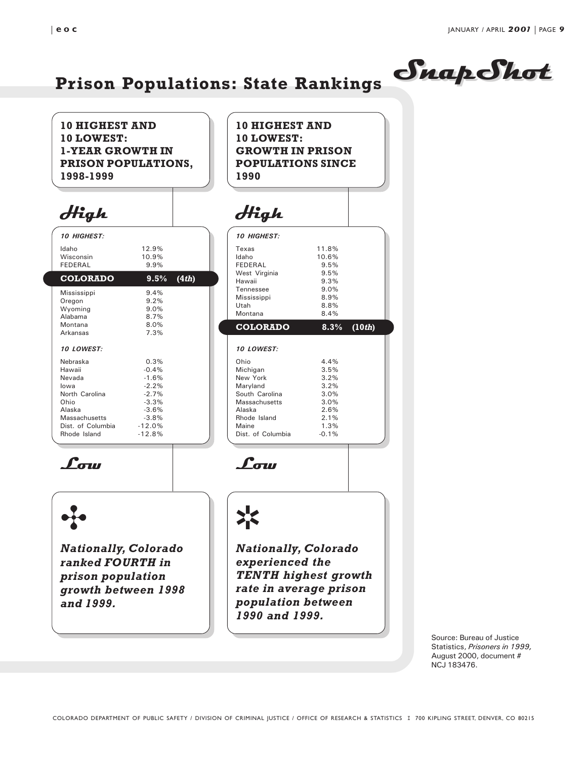### 10 HIGHEST AND 10 LOWEST: 1-YEAR GROWTH IN PRISON POPULATIONS, 1998-1999

### High

| 10 HIGHEST:                                                                                                              |                                                                                       |       |
|--------------------------------------------------------------------------------------------------------------------------|---------------------------------------------------------------------------------------|-------|
| Idaho<br>Wisconsin<br>FFDFRAI                                                                                            | 12.9%<br>10.9%<br>9.9%                                                                |       |
| <b>COLORADO</b>                                                                                                          | $9.5\%$                                                                               | (4th) |
| Mississippi<br>Oregon<br>Wyoming<br>Alabama<br>Montana<br>Arkansas<br>10 LOWEST:<br>Nebraska<br>Hawaii<br>Nevada<br>lowa | 9.4%<br>9.2%<br>9.0%<br>8.7%<br>8.0%<br>7.3%<br>0.3%<br>$-0.4%$<br>$-1.6%$<br>$-2.2%$ |       |
| North Carolina<br>Ohio<br>Alaska<br>Massachusetts<br>Dist. of Columbia<br>Rhode Island                                   | $-2.7%$<br>$-3.3%$<br>$-3.6%$<br>$-3.8%$<br>$-12.0%$<br>$-12.8%$                      |       |

## High

1990

| <i><b>10 HIGHEST:</b></i> |         |                     |
|---------------------------|---------|---------------------|
| Texas                     | 11.8%   |                     |
| Idaho                     | 10.6%   |                     |
| FEDERAL                   | 9.5%    |                     |
| West Virginia             | 9.5%    |                     |
| Hawaii                    | 9.3%    |                     |
| Tennessee                 | 9.0%    |                     |
| Mississippi               | 8.9%    |                     |
| Utah                      | 8.8%    |                     |
| Montana                   | 8.4%    |                     |
| <b>COLORADO</b>           | $8.3\%$ | (10 <sub>th</sub> ) |
|                           |         |                     |
|                           |         |                     |
| 10 LOWEST:                |         |                     |
| Ohio                      | 4.4%    |                     |
| Michigan                  | 3.5%    |                     |
| New York                  | 3.2%    |                     |
| Maryland                  | 3.2%    |                     |
| South Carolina            | 3.0%    |                     |
| Massachusetts             | 3.0%    |                     |
| Alaska                    | 2.6%    |                     |
| Rhode Island              | $2.1\%$ |                     |
| Maine                     | 1.3%    |                     |

Prison Populations: State Rankings SuapShot

10 HIGHEST AND 10 LOWEST:

GROWTH IN PRISON POPULATIONS SINCE

Low

# d

Nationally, Colorado ranked FOURTH in prison population growth between 1998 and 1999.

### s

 $L$ ow

Nationally, Colorado experienced the TENTH highest growth rate in average prison population between 1990 and 1999.

> Source: Bureau of Justice Statistics, Prisoners in 1999, August 2000, document # NCJ 183476.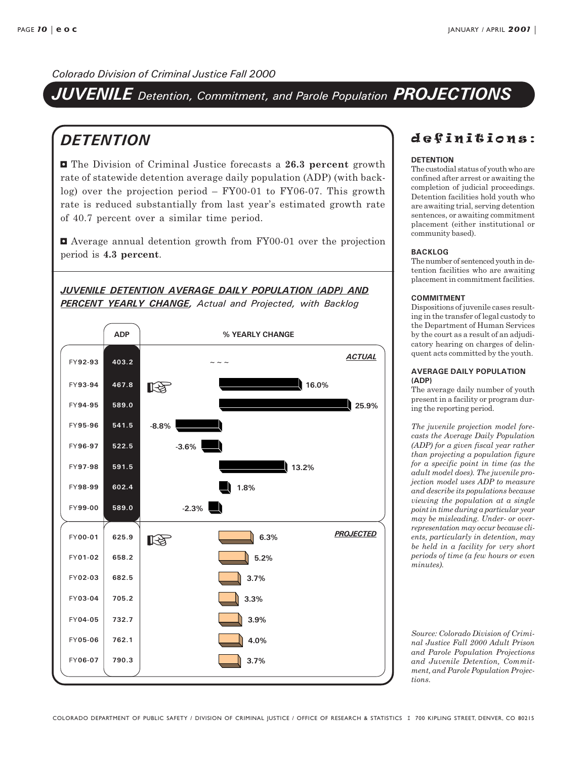JUVENILE Detention, Commitment, and Parole Population PROJECTIONS

### **DETENTION**

**E** The Division of Criminal Justice forecasts a 26.3 percent growth rate of statewide detention average daily population (ADP) (with backlog) over the projection period  $-FY00-01$  to  $FY06-07$ . This growth rate is reduced substantially from last year's estimated growth rate of 40.7 percent over a similar time period.

3 Average annual detention growth from FY00-01 over the projection period is 4.3 percent.

### JUVENILE DETENTION AVERAGE DAILY POPULATION (ADP) AND PERCENT YEARLY CHANGE, Actual and Projected, with Backlog



### definitions:

#### **DETENTION**

The custodial status of youth who are confined after arrest or awaiting the completion of judicial proceedings. Detention facilities hold youth who are awaiting trial, serving detention sentences, or awaiting commitment placement (either institutional or community based).

#### BACKLOG

The number of sentenced youth in detention facilities who are awaiting placement in commitment facilities.

#### COMMITMENT

Dispositions of juvenile cases resulting in the transfer of legal custody to the Department of Human Services by the court as a result of an adjudicatory hearing on charges of delinquent acts committed by the youth.

#### AVERAGE DAILY POPULATION (ADP)

The average daily number of youth present in a facility or program during the reporting period.

The juvenile projection model forecasts the Average Daily Population (ADP) for a given fiscal year rather than projecting a population figure for a specific point in time (as the adult model does). The juvenile projection model uses ADP to measure and describe its populations because viewing the population at a single point in time during a particular year may be misleading. Under- or overrepresentation may occur because clients, particularly in detention, may be held in a facility for very short periods of time (a few hours or even minutes).

Source: Colorado Division of Criminal Justice Fall 2000 Adult Prison and Parole Population Projections and Juvenile Detention, Commitment, and Parole Population Projections.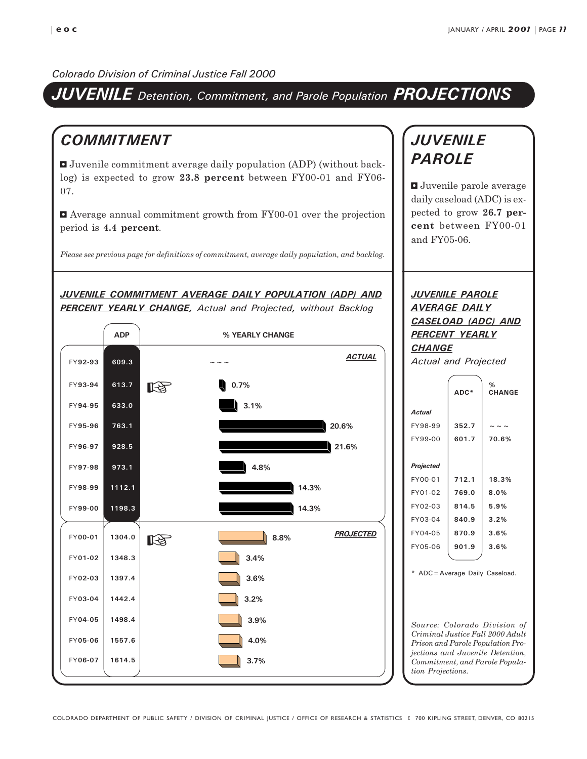### JUVENILE Detention, Commitment, and Parole Population PROJECTIONS